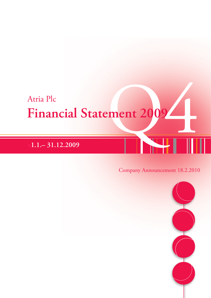# Atria Plc<br>Financial Statement 2009 **Financial Statement 2009**

# **x1.1.– 31.12.2009**

## Company Announcement 18.2.2010

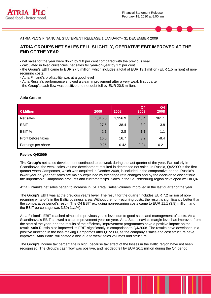



ATRIA PLC'S FINANCIAL STATEMENT RELEASE 1 JANUARY– 31 DECEMBER 2009

### **ATRIA GROUP'S NET SALES FELL SLIGHTLY, OPERATIVE EBIT IMPROVED AT THE END OF THE YEAR**

- net sales for the year were down by 3.0 per cent compared with the previous year

- calculated in fixed currencies, net sales fell year-on-year by 1.2 per cent.

- the Group's EBIT came to EUR 27.5 million, which includes a total of EUR 13.1 million (EUR 1.5 million) of nonrecurring costs.

- Atria Finland's profitability was at a good level
- Atria Russia's performance showed a clear improvement after a very weak first quarter

- the Group's cash flow was positive and net debt fell by EUR 20.8 million.

#### **Atria Group:**

| $\in$ Million       | 2009    | 2008    | Q <sub>4</sub><br>2009 | Q <sub>4</sub><br>2008 |
|---------------------|---------|---------|------------------------|------------------------|
| Net sales           | 1,316.0 | 1,356.9 | 340.4                  | 361.1                  |
| <b>EBIT</b>         | 27.5    | 38.4    | 3.9                    | 3.8                    |
| EBIT %              | 2.1     | 2.8     | 1.1                    | 1.1                    |
| Profit before taxes | 16.5    | 16.7    | 3.2                    | $-8.4$                 |
| Earnings per share  | 0.25    | 0.42    | $-0.04$                | $-0.21$                |

#### **Review Q4/2009**

**The Group's** net sales development continued to be weak during the last quarter of the year. Particularly in Scandinavia, the weak sales volume development resulted in decreased net sales. In Russia, Q4/2009 is the first quarter when Campomos, which was acquired in October 2008, is included in the comparative period. Russia's lower year-on-year net sales are mainly explained by exchange rate changes and by the decision to discontinue the unprofitable Campomos products and customerships. Sales in the St. Petersburg region developed well in Q4.

Atria Finland's net sales began to increase in Q4. Retail sales volumes improved in the last quarter of the year.

The Group's EBIT was at the previous year's level. The result for the quarter includes EUR 7.2 million of nonrecurring write-offs in the Baltic business area. Without the non-recurring costs, the result is significantly better than the comparative period's result. The Q4 EBIT excluding non-recurring costs came to EUR 11.1 (3.8) million, and the EBIT percentage was 3.3% (1.1%).

Atria Finland's EBIT reached almost the previous year's level due to good sales and management of costs. Atria Scandinavia's EBIT showed a clear improvement year-on-year. Atria Scandinavia's margin level has improved from the start of the year, and the results of the efficiency improvement programmes have a positive impact on the result. Atria Russia also improved its EBIT significantly in comparison to Q4/2008. The results have developed in a positive direction in the loss-making Campomos after Q1/2009, as the company's sales and cost structure have improved. Atria Baltic still posted a loss due to weak sales volumes and structure.

The Group's income tax percentage is high, because tax effect of the losses in the Baltic region have not been recognised. The Group's cash flow was positive, and net debt fell by EUR 26.1 million during the Q4 period.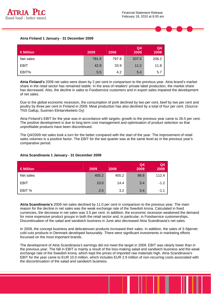



#### **Atria Finland 1 January - 31 December 2009**

| $\in$ Million | 2009  | 2008  | Q <sub>4</sub><br>2009 | Q4<br>2008 |
|---------------|-------|-------|------------------------|------------|
| Net sales     | 781.9 | 797.9 | 207.5                  | 206.2      |
| <b>EBIT</b>   | 42.9  | 33.9  | 11.2                   | 11.8       |
| EBIT%         | 5.5   | 4.2   | 5.4                    | 5.7        |

**Atria Finland's** 2009 net sales were down by 2 per cent in comparison to the previous year. Atria brand's market share in the retail sector has remained stable. In the area of retailers' private label production, the market share has decreased. Also, the decline in sales to Foodservice customers and in export sales impaired the development of net sales.

Due to the global economic recession, the consumption of pork declined by two per cent, beef by two per cent and poultry by three per cent in Finland in 2009. Meat production has also declined by a total of four per cent. (Source: TNS Gallup, Suomen Elintarviketieto Oy)

Atria Finland's EBIT for the year was in accordance with targets; growth to the previous year came to 26.5 per cent. The positive development is due to long term cost management and optimisation of product selection so that unprofitable products have been discontinued.

The Q4/2009 net sales took a turn for the better compared with the start of the year. The improvement of retail sales volumes is a positive factor. The EBIT for the last quarter was at the same level as in the previous year's comparative period.

#### **Atria Scandinavia 1 January - 31 December 2009**

| €Million    | 2009  | 2008  | Q4<br>2009 | Q <sub>4</sub><br>2008 |
|-------------|-------|-------|------------|------------------------|
| Net sales   | 405.2 | 455.2 | 98.8       | 112.4                  |
| <b>EBIT</b> | 10.0  | 14.4  | 3.4        | $-1.2$                 |
| EBIT %      | 2.5   | 3.2   | 3.4        | $-1.1$                 |

**Atria Scandinavia's** 2009 net sales declined by 11.0 per cent in comparison to the previous year. The main reason for the decline in net sales was the weak exchange rate of the Swedish krona. Calculated in fixed currencies, the decrease in net sales was 3.5 per cent. In addition, the economic recession weakened the demand for more expensive product groups in both the retail sector and, in particular, in Foodservice customerships. Discontinuation of the salad and sandwich business in June also decreased Atria Scandinavia's net sales.

In 2009, the concept business and delicatessen products increased their sales. In addition, the sales of 3-Stjernet cold cuts products in Denmark developed favourably. There were significant investments in marketing efforts focussed on the most important brands.

The development of Atria Scandinavia's earnings did not meet the target in 2009. EBIT was clearly lower than in the previous year. The fall in EBIT is mainly a result of the loss-making salad and sandwich business and the weak exchange rate of the Swedish krona, which kept the prices of imported raw materials high. Atria Scandinavia's EBIT for the year came to EUR 10.0 million, which includes EUR 2.9 million of non-recurring costs associated with the discontinuation of the salad and sandwich business.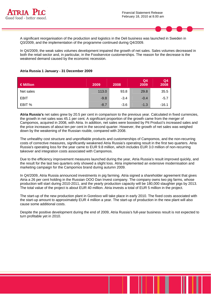



A significant reorganisation of the production and logistics in the Deli business was launched in Sweden in Q3/2009, and the implementation of the programme continued during Q4/2009.

In Q4/2009, the weak sales volumes development impaired the growth of net sales. Sales volumes decreased in both the retail sector and, in particular, in the Foodservice customerships. The reason for the decrease is the weakened demand caused by the economic recession.

#### **Atria Russia 1 January - 31 December 2009**

| $\in$ Million | 2009   | 2008   | Q <sub>4</sub><br>2009 | Q <sub>4</sub><br>2008 |
|---------------|--------|--------|------------------------|------------------------|
| Net sales     | 113.0  | 93.8   | 29.8                   | 35.5                   |
| <b>EBIT</b>   | $-9.8$ | $-3.4$ | $-0.4$                 | $-5.7$                 |
| EBIT %        | $-8.7$ | $-3.6$ | $-1.3$                 | $-16.1$                |

**Atria Russia's** net sales grew by 20.5 per cent in comparison to the previous year. Calculated in fixed currencies, the growth in net sales was 45.1 per cent. A significant proportion of the growth came from the merger of Campomos, acquired in 2008, with Atria. In addition, net sales were boosted by Pit Product's increased sales and the price increases of about ten per cent in the second quarter. However, the growth of net sales was weighed down by the weakening of the Russian rouble, compared with 2008.

The unhealthy cost structure and unprofitable products and customerships of Campomos, and the non-recurring costs of corrective measures, significantly weakened Atria Russia's operating result in the first two quarters. Atria Russia's operating loss for the year came to EUR 9.8 million, which includes EUR 3.0 million of non-recurring takeover and integration costs associated with Campomos.

Due to the efficiency improvement measures launched during the year, Atria Russia's result improved quickly, and the result for the last two quarters only showed a slight loss. Atria implemented an extensive modernisation and marketing campaign for the Campomos brand during autumn 2009.

In Q4/2009, Atria Russia announced investments in pig farming. Atria signed a shareholder agreement that gives Atria a 26 per cent holding in the Russian OOO Dan Invest company. The company owns two pig farms, whose production will start during 2010-2011, and the yearly production capacity will be 180,000 slaughter pigs by 2013. The total value of the project is about EUR 40 million. Atria invests a total of EUR 5 million in the project.

The start-up of the new production plant in Gorelovo will take place in early 2010. The fixed costs associated with the start-up amount to approximately EUR 4 million a year. The start-up of production in the new plant will also cause some additional costs.

Despite the positive development during the end of 2009, Atria Russia's full-year business result is not expected to turn profitable yet in 2010.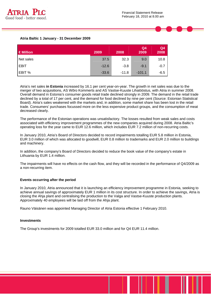



| €Million    | 2009    | 2008    | Q4<br>2009 | Q <sub>4</sub><br>2008 |
|-------------|---------|---------|------------|------------------------|
| Net sales   | 37.5    | 32.3    | 9.0        | 10.8                   |
| <b>EBIT</b> | $-12.6$ | $-3.8$  | $-9.1$     | $-0.7$                 |
| EBIT %      | $-33.6$ | $-11.8$ | $-101.1$   | $-6.5$                 |

Atria's net sales **in Estonia** increased by 16.1 per cent year-on-year. The growth in net sales was due to the merger of two acquisitions, AS Wõro Kommerts and AS Vastse-Kuuste Lihatööstus, with Atria in summer 2008. Overall demand in Estonia's consumer goods retail trade declined strongly in 2009. The demand in the retail trade declined by a total of 17 per cent, and the demand for food declined by nine per cent (Source: Estonian Statistical Board). Atria's sales weakened with the markets and, in addition, some market share has been lost in the retail trade. Consumers' purchases focussed more on the less expensive product groups, and the consumption of meat decreased clearly.

The performance of the Estonian operations was unsatisfactory. The losses resulted from weak sales and costs associated with efficiency improvement programmes of the new companies acquired during 2008. Atria Baltic's operating loss for the year came to EUR 12.6 million, which includes EUR 7.2 million of non-recurring costs.

In January 2010, Atria's Board of Directors decided to record impairments totalling EUR 5.8 million in Estonia, EUR 3.0 million of which was allocated to goodwill, EUR 0.8 million to trademarks and EUR 2.0 million to buildings and machinery.

In addition, the company's Board of Directors decided to reduce the book value of the company's estate in Lithuania by EUR 1.4 million.

The impairments will have no effects on the cash flow, and they will be recorded in the performance of Q4/2009 as a non-recurring item.

#### **Events occurring after the period**

In January 2010, Atria announced that it is launching an efficiency improvement programme in Estonia, seeking to achieve annual savings of approximately EUR 1 million in its cost structure. In order to achieve the savings, Atria is closing the Ahja plant and centralising the production to the Valga and Vastse-Kuuste production plants. Approximately 40 employees will be laid off from the Ahja plant.

Rauno Väisänen was appointed Managing Director of Atria Estonia effective 1 February 2010.

#### **Investments**

The Group's investments for 2009 totalled EUR 33.0 million and for Q4 EUR 11.4 million.

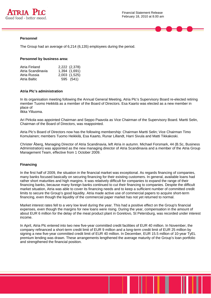



The Group had an average of 6,214 (6,135) employees during the period.

#### **Personnel by business area:**

| Atria Finland     | 2,222 (2,378) |
|-------------------|---------------|
| Atria Scandinavia | 1,394 (1,691) |
| Atria Russia      | 2,003 (1,525) |
| Atria Baltic      | 595 (541)     |

#### **Atria Plc's administration**

In its organisation meeting following the Annual General Meeting, Atria Plc's Supervisory Board re-elected retiring member Tuomo Heikkilä as a member of the Board of Directors. Esa Kaarto was elected as a new member in place of

Ilkka Yliluoma.

Ari Pirkola was appointed Chairman and Seppo Paavola as Vice Chairman of the Supervisory Board. Martti Selin, Chairman of the Board of Directors, was reappointed.

Atria Plc's Board of Directors now has the following membership: Chairman Martti Selin; Vice Chairman Timo Komulainen; members Tuomo Heikkilä, Esa Kaarto, Runar Lillandt, Harri Sivula and Matti Tikkakoski.

Christer Åberg, Managing Director of Atria Scandinavia, left Atria in autumn. Michael Forsmark, 44 (B.Sc, Business Administration) was appointed as the new managing director of Atria Scandinavia and a member of the Atria Group Management Team, effective from 1 October 2009.

#### **Financing**

In the first half of 2009, the situation in the financial market was exceptional. As regards financing of companies, many banks focused basically on securing financing for their existing customers. In general, available loans had rather short maturities and high margins. It was relatively difficult for companies to expand the range of their financing banks, because many foreign banks continued to cut their financing to companies. Despite the difficult market situation, Atria was able to cover its financing needs and to keep a sufficient number of committed credit limits to secure the Group's good liquidity. Atria made active use of commercial papers to acquire short-term financing, even though the liquidity of the commercial paper market has not yet returned to normal.

Market interest rates fell to a very low level during the year. This had a positive effect on the Group's financial expenses, even though the margins for new loans were rising. During the year, compensation in the amount of about EUR 6 million for the delay of the meat product plant in Gorelovo, St Petersburg, was recorded under interest income.

In April, Atria Plc entered into two new five-year committed credit facilities of EUR 40 million. In November, the company refinanced a short-term credit limit of EUR 9 million and a long-term credit limit of EUR 25 million by signing a new five-year committed credit limit of EUR 40 million. In December, EUR 15.5 million of 10-year TyEL premium lending was drawn. These arrangements lengthened the average maturity of the Group's loan portfolio and strengthened the financial position.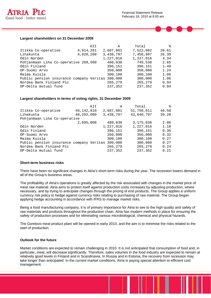

#### **Largest shareholders on 31 December 2009**

|                                          | KII       | Α         | Total     | °     |
|------------------------------------------|-----------|-----------|-----------|-------|
| Itikka Co-operative                      | 4,914,281 | 2,607,801 | 7,522,082 | 26.61 |
| Lihakunta                                | 4,020,200 | 3,438,797 | 7,458,997 | 26.39 |
| Odin Norden                              |           | 1,227,016 | 1,227,016 | 4.34  |
| Pohjanmaan Liha Co-operative 269,500     |           | 480,038   | 749,538   | 2.65  |
| Odin Finland                             |           | 396,151   | 396,151   | 1.40  |
| OP-Suomi Arvo                            |           | 350,000   | 350,000   | 1.24  |
| Reima Kuisla                             |           | 300,100   | 300,100   | 1.06  |
| Public pension insurance company Veritas |           | 300,000   | 300,000   | 1.06  |
| Nordea Bank Finland Plc                  |           | 265,279   | 265,279   | 0.94  |
| OP-Delta mutual fund                     |           | 237,352   | 237,352   | 0.84  |

#### **Largest shareholders in terms of voting rights, 31 December 2009**

|                                          | KII        | A         | Total       | °     |
|------------------------------------------|------------|-----------|-------------|-------|
| Itikka Co-operative                      | 49,142,810 | 2,607,801 | 51,750,611  | 46.58 |
| Lihakunta                                | 40,202,000 | 3,438,797 | 43,640,797  | 39.28 |
| Pohjanmaan Liha Co-operative             |            |           |             |       |
|                                          | 2,695,000  | 480,038   | 3, 175, 038 | 2.86  |
| Odin Norden                              |            | 1,227,016 | 1,227,016   | 1.10  |
| Odin Finland                             |            | 396,151   | 396,151     | 0.36  |
| OP-Suomi Arvo                            |            | 350,000   | 350,000     | 0.32  |
| Reima Kuisla                             |            | 300,100   | 300,100     | 0.27  |
| Public pension insurance company Veritas |            | 300,000   | 300,000     | 0.27  |
| Nordea Bank Finland Plc                  |            | 265,279   | 265,279     | 0.24  |
| OP-Delta mutual fund                     |            | 237,352   | 237,352     | 0.21  |

#### **Short-term business risks**

There have been no significant changes in Atria's short-term risks during the year. The recession lowers demand in all of the Group's business areas.

The profitability of Atria's operations is greatly affected by the risk associated with changes in the market price of meat raw material. Atria aims to protect itself against production costs increases by adjusting production, where necessary, and by trying to anticipate changes through the pricing of end products. The Group applies a uniform currency risk policy to hedge against currency risks relating to purchasing of raw material. The Group began applying hedge accounting in accordance with IFRS to manage market risks.

Being a food manufacturing company, it is of primary importance for Atria to see to the high quality and safety of raw materials and products throughout the production chain. Atria has modern methods in place for ensuring the safety of production processes and for eliminating various microbiological, chemical and physical hazards.

The Gorelovo meat product plant will be opened in early 2010, and the aim is to minimise the risks related to the start of production.

#### **Outlook for the future**

Market conditions are expected to remain challenging in 2010. It is not anticipated that consumption of food and, in particular, meat, will decrease significantly. Therefore, sales volumes in the food industry are expected to remain at relatively good levels in Finland and in Scandinavia. In Russia and in Estonia, the recovery from recession may take longer than anticipated. In the current market conditions, Atria is paying special attention to efficient cost management.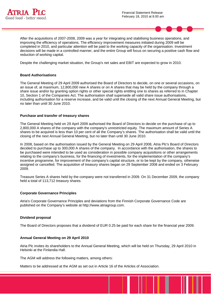



After the acquisitions of 2007-2008, 2009 was a year for integrating and stabilising business operations, and improving the efficiency of operations. The efficiency improvement measures initiated during 2009 will be completed in 2010, and particular attention will be paid to the working capacity of the organisation. Investment decisions will be made in a controlled manner, and the entire Group will focus on securing a positive cash flow and reduction of working capital.

Despite the challenging market situation, the Group's net sales and EBIT are expected to grow in 2010.

#### **Board Authorisations**

The General Meeting of 29 April 2009 authorised the Board of Directors to decide, on one or several occasions, on an issue of, at maximum, 12,800,000 new A shares or on A shares that may be held by the company through a share issue and/or by granting option rights or other special rights entitling one to shares as referred to in Chapter 10, Section 1 of the Companies Act. The authorisation shall supersede all valid share issue authorisations, including authorisation for a reserve increase, and be valid until the closing of the next Annual General Meeting, but no later than until 30 June 2010.

#### **Purchase and transfer of treasury shares**

The General Meeting held on 29 April 2009 authorised the Board of Directors to decide on the purchase of up to 2,800,000 A shares of the company with the company's unrestricted equity. The maximum amount of Series A shares to be acquired is less than 10 per cent of all the Company's shares. The authorisation shall be valid until the closing of the next Annual General Meeting, but no later than until 30 June 2010.

In 2008, based on the authorisation issued by the General Meeting on 29 April 2008, Atria Plc's Board of Directors decided to purchase up to 300,000 A shares of the company. In accordance with the authorisation, the shares to be purchased were intended to be used as consideration in possible company acquisitions or other arrangements relating to the company's business, for the financing of investments, for the implementation of the company's incentive programme, for improvement of the company's capital structure, or to be kept by the company, otherwise assigned or cancelled. The acquisition of treasury shares began on 29 September 2008 and ended on 3 February 2009.

Treasure Series A shares held by the company were not transferred in 2009. On 31 December 2009, the company held a total of 113,712 treasury shares.

#### **Corporate Governance Principles**

Atria's Corporate Governance Principles and deviations from the Finnish Corporate Governance Code are published on the Company's website at http://www.atriagroup.com.

#### **Dividend proposal**

The Board of Directors proposes that a dividend of EUR 0.25 be paid for each share for the financial year 2009.

#### **Annual General Meeting on 29 April 2010**

Atria Plc invites its shareholders to the Annual General Meeting, which will be held on Thursday, 29 April 2010 in Helsinki at the Finlandia Hall.

The AGM will address the following matters, among others:

Matters to be addressed at the AGM as set out in Article 16 of the Articles of Association.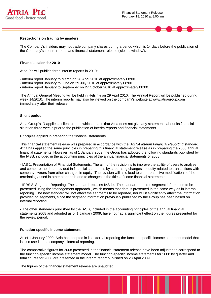



#### **Restrictions on trading by insiders**

The Company's insiders may not trade company shares during a period which is 14 days before the publication of the Company's interim reports and financial statement release ('closed window').

#### **Financial calendar 2010**

Atria Plc will publish three interim reports in 2010:

- interim report January to March on 28 April 2010 at approximately 08:00
- interim report January to June on 29 July 2010 at approximately 08:00
- interim report January to September on 27 October 2010 at approximately 08:00.

The Annual General Meeting will be held in Helsinki on 29 April 2010. The Annual Report will be published during week 14/2010. The interim reports may also be viewed on the company's website at www.atriagroup.com immediately after their release.

#### **Silent period**

Atria Group's IR applies a silent period, which means that Atria does not give any statements about its financial situation three weeks prior to the publication of interim reports and financial statements.

Principles applied in preparing the financial statements

This financial statement release was prepared in accordance with the IAS 34 *Interim Financial Reporting* standard. Atria has applied the same principles in preparing this financial statement release as in preparing the 2008 annual financial statements. However, as of 1 January 2009, the Group has adopted the following standards published by the IASB, included in the accounting principles of the annual financial statements of 2008:

- IAS 1, Presentation of Financial Statements. The aim of the revision is to improve the ability of users to analyse and compare the data provided in financial statements by separating changes in equity related to transactions with company owners from other changes in equity. The revision will also lead to comprehensive modifications of the terminology used in other standards and to changes in the titles of some financial statements.

- IFRS 8, Segment Reporting. The standard replaces IAS 14. The standard requires segment information to be presented using the "management approach", which means that data is presented in the same way as in internal reporting. The new standard will not affect the segments to be reported, nor will it significantly affect the information provided on segments, since the segment information previously published by the Group has been based on internal reporting.

- The other standards published by the IASB, included in the accounting principles of the annual financial statements 2008 and adopted as of 1 January 2009, have not had a significant effect on the figures presented for the review period.

#### **Function-specific income statement**

As of 1 January 2009, Atria has adopted in its external reporting the function-specific income statement model that is also used in the company's internal reporting.

The comparative figures for 2008 presented in the financial statement release have been adjusted to correspond to the function-specific income statement model. The function-specific income statements for 2008 by quarter and total figures for 2008 are presented in the interim report published on 28 April 2009.

The figures of the financial statement release are unaudited.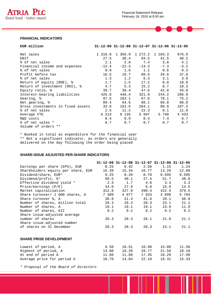

#### **FINANCIAL INDICATORS**

| EUR million                       |         |         |                         |         | 31-12-09 31-12-08 31-12-07 31-12-06 31-12-05 |
|-----------------------------------|---------|---------|-------------------------|---------|----------------------------------------------|
|                                   |         |         |                         |         |                                              |
| Net sales                         | 1 316.0 |         | 1 356.9 1 272.2 1 103.3 |         | 976.9                                        |
| EBIT                              | 27.5    | 38.4    | 94.5                    | 41.5    | 40.2                                         |
| % of net sales                    | 2.1     | 2.8     |                         | 7.4 3.8 | 4.1                                          |
| Financial income and expenses     | $-12.4$ | $-22.3$ | $-14.3$                 | $-7.3$  | $-3.2$                                       |
| % of net sales                    | 0.9     | 1.6     | 1.1                     | 0.6     | 0.3                                          |
| Profit before tax                 | 16.5    | 16.7    | 80.6                    | 34.6    | 37.8                                         |
| % of net sales                    | 1.3     | 1.2     | 6.3                     | 3.1     | 3.9                                          |
| Return of equity (ROE), %         | 1.7     | 2.5     | 17.2                    | 8.8     | 10.0                                         |
| Return of investment (ROI), %     | 4.7     | 5.3     | 15.2                    | 8.7     | 10.3                                         |
| Equity ratio, %                   | 39.7    | 38.4    | 47.6                    | 42.8    | 43.0                                         |
| Interest-bearing liabilities      | 425.8   | 448.4   | 321.9                   | 244.2   | 206.9                                        |
| Gearing, %                        | 97.5    | 103.1   | 67.6                    | 78.1    | 75.2                                         |
| Net gearing, %                    | 89.4    | 94.6    | 60.1                    | 66.8    | 68.9                                         |
| Gross investments in fixed assets | 33.0    | 152.6   | 284.1                   | 89.0    | 107.3                                        |
| % of net sales                    | 2.5     | 11.2    | 22.3                    | 8.1     | 11.0                                         |
| Average FTE                       | 6 214   | 6 135   | 5 947                   | 5 740   | 4 4 3 3                                      |
| R&D costs                         | 9.4     | 9.9     | 8.4                     | 7.4     | 6.7                                          |
| % of net sales *                  | 0.7     | 0.7     | 0.7                     | 0.7     | 0.7                                          |
| Volume of orders **               |         |         |                         |         |                                              |

\* Booked in total as expenditure for the financial year \*\* Not a significant indicator, as orders are generally delivered on the day following the order being placed

#### **SHARE-ISSUE ADJUSTED PER-SHARE INDICATORS**

|                                    |       |         |       |       | 31-12-09 31-12-08 31-12-07 31-12-06 31-12-05 |
|------------------------------------|-------|---------|-------|-------|----------------------------------------------|
| Earnings per share (EPS), EUR      | 0.25  | 0.42    | 2.56  | 1.15  | 1.24                                         |
| Shareholders'equity per share, EUR | 15.39 | 15.34   | 16.77 | 13.28 | 12.08                                        |
| Dividend/share, EUR*               | 0.25  | 0.20    | 0.70  | 0.595 | 0.595                                        |
| Dividend/profit, $\frac{1}{2}$     | 99.5  | 48.1    | 27.4  | 51.7  | 48.0                                         |
| Effective dividend yield *         | 2.3   | 1.7     | 4.0   | 3.3   | 3.3                                          |
| Price/earnings (P/E)               | 44.0  | 27.9    | 6.8   | 15.9  | 14.5                                         |
| Market capitalisation              | 312.6 | 327.9   | 490.4 | 422.4 | 379.5                                        |
| Share turnover/ 1 000 shares, A    | 7 389 | 4 0 7 7 | 7933  | 3 899 | 5 704                                        |
| Share turnover %, A                | 38.8  | 21.4    | 41.6  | 28.1  | 48.0                                         |
| Number of shares, million total    | 28.3  | 28.3    | 28.3  | 23.1  | 21.1                                         |
| Number of shares, A                | 19.1  | 19.1    | 19.1  | 13.9  | 11.9                                         |
| Number of shares, KII              | 9.2   | 9.2     | 9.2   | 9.2   | 9.2                                          |
| Share issue-adjusted average       |       |         |       |       |                                              |
| number of shares                   | 28.3  | 28.3    | 26.1  | 21.8  | 21.1                                         |
| Share issue-adjusted number        |       |         |       |       |                                              |
| of shares on 31 December           | 28.3  | 28.3    | 28.3  | 23.1  | 21.1                                         |
| <b>SHARE PRISE DEVELOPMENT</b>     |       |         |       |       |                                              |
| Lowest of period, A                | 6.50  | 10.51   | 16.90 | 15.00 | 11.50                                        |
| Highest of period, A               | 13.00 | 18.29   | 28.77 | 21.50 | 18.18                                        |
| At end of period A                 | 11.06 | 11.60   | 17.35 | 18.29 | 17.99                                        |
| Average price for period A         | 10.76 | 14.04   | 22.18 | 18.31 | 15.33                                        |

*\* Proposal of the Board of Directors*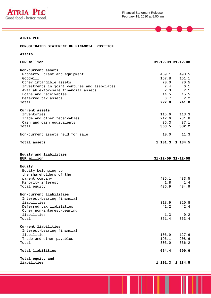

 $\blacksquare$ 

#### **ATRIA PLC**

**CONSOLIDATED STATEMENT OF FINANCIAL POSITION** 

**Assets** 

| EUR million                                                  |               | $31 - 12 - 09$ $31 - 12 - 08$ |
|--------------------------------------------------------------|---------------|-------------------------------|
| Non-current assets<br>Property, plant and equipment          | 469.1         | 493.5                         |
| Goodwill                                                     | 157.8         | 151.1                         |
| Other intangible assets                                      | 70.0          | 70.5                          |
| Investments in joint ventures and associates                 | 7.4           | 6.1                           |
| Available-for-sale financial assets<br>Loans and receivables | 2.3<br>14.5   | 2.1<br>15.5                   |
| Deferred tax assets                                          | 6.7           | 2.2                           |
| Total                                                        | 727.8         | 741.0                         |
|                                                              |               |                               |
| Current assets                                               |               |                               |
| Inventories                                                  | 115.6         | 113.3                         |
| Trade and other receivables                                  | 212.6         | 231.8                         |
| Cash and cash equivalents<br>Total                           | 35.3<br>363.5 | 37.1<br>382.2                 |
|                                                              |               |                               |
| Non-current assets held for sale                             | 10.0          | 11.3                          |
| Total assets                                                 |               | 1 101.3 1 134.5               |
|                                                              |               |                               |
|                                                              |               |                               |
| Equity and liabilities                                       |               |                               |
| EUR million                                                  |               | $31 - 12 - 09$ $31 - 12 - 08$ |
| Equity                                                       |               |                               |
| Equity belonging to                                          |               |                               |
| the shareholders of the                                      |               |                               |
| parent company                                               | 435.1         | 433.5                         |
| Minority interest                                            | 1.8           | 1.4                           |
| Total equity                                                 | 436.9         | 434.9                         |
| Non-current liabilities                                      |               |                               |
| Interest-bearing financial                                   |               |                               |
| liabilities                                                  | 318.9         | 320.8                         |
| Deferred tax liabilities                                     | 41.2          | 42.4                          |
| Other non-interest-bearing                                   |               |                               |
| liabilities                                                  | 1.3           | 0.2                           |
| Total                                                        | 361.4         | 363.4                         |
| Current liabilities                                          |               |                               |
| Interest-bearing financial                                   |               |                               |
| liabilities                                                  | 106.9         | 127.6                         |
| Trade and other payables                                     | 196.1         | 208.6                         |
| Total                                                        | 303.0         | 336.2                         |
| Total liabilities                                            | 664.4         | 699.6                         |
| Total equity and                                             |               |                               |
| liabilities                                                  |               | 1 101.3 1 134.5               |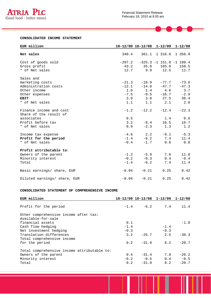

 $\qquad \qquad \blacksquare$ 

#### **CONSOLIDATED INCOME STATEMENT**

| EUR million                  |          |             | 10-12/09 10-12/08 1-12/09 1-12/08 |         |
|------------------------------|----------|-------------|-----------------------------------|---------|
|                              |          |             |                                   |         |
| Net sales                    | 340.4    |             | 361.1 1 316.0 1 356.9             |         |
|                              |          |             |                                   |         |
| Cost of goods sold           | $-297.2$ |             | $-325.3 -1 151.0 -1 198.4$        |         |
| Gross profit                 | 43.2     | 35.8        | 165.0                             | 158.5   |
| * of Net sales               |          | 12.7<br>9.9 | 12.5                              | 11.7    |
| Sales and                    |          |             |                                   |         |
| marketing costs              | $-21.3$  | $-18.9$     | $-77.7$                           | $-73.6$ |
| Administration costs         | $-12.1$  | $-14.0$     | $-47.7$                           | $-47.3$ |
| Other income                 |          | 1.6<br>1.4  | 4.6                               | 3.7     |
| Other expenses               | $-7.5$   | $-0.5$      | $-16.7$                           | $-2.9$  |
| <b>EBIT</b>                  |          | 3.9<br>3.8  | 27.5                              | 38.4    |
| * of Net sales               | 1.1      | 1.1         | 2.1                               | 2.8     |
|                              |          |             |                                   |         |
| Finance income and cost      | $-1.2$   | $-12.2$     | $-12.4$                           | $-22.3$ |
| Share of the result of       |          |             |                                   |         |
| associates                   | 0.5      |             | 1.4                               | 0.6     |
| Profit before tax            | 3.2      | $-8.4$      | 16.5                              | 16.7    |
| * of Net sales               | 0.9      | $-2.3$      | 1.3                               | 1.2     |
|                              |          |             |                                   |         |
| Income tax expense           |          | $-4.6$ 2.2  | $-9.1$                            | $-5.3$  |
| Profit for the period        | $-1.4$   | $-6.2$      | 7.4                               | 11.4    |
| * of Net sales               | $-0.4$   | $-1.7$      | 0.6                               | 0.8     |
| Profit attributable to:      |          |             |                                   |         |
| Owners of the parent         |          | $-1.2 -5.9$ | 7.0                               | 11.8    |
| Minority interest            | $-0.2$   | $-0.3$      | 0.4                               | $-0.4$  |
|                              |          |             |                                   |         |
| Total                        | $-1.4$   | $-6.2$      | 7.4                               | 11.4    |
| Basic earnings/ share, EUR   | $-0.04$  | $-0.21$     | 0.25                              | 0.42    |
| Diluted earnings/ share, EUR | $-0.04$  | $-0.21$     | 0.25                              | 0.42    |

#### **CONSOLIDATED STATEMENT OF COMPREHENSIVE INCOME**

| EUR million                                 |        | $10-12/09$ $10-12/08$ $1-12/09$ $1-12/08$ |        |             |
|---------------------------------------------|--------|-------------------------------------------|--------|-------------|
| Profit for the period                       |        | $-1.4$ $-6.2$ $7.4$                       |        | 11.4        |
| Other comprehensive income after tax:       |        |                                           |        |             |
| Available-for-sale                          |        |                                           |        |             |
| financial assets                            | 0.1    |                                           |        | $-1.8$      |
| Cash flow hedging                           | $-1.4$ |                                           | $-1.4$ |             |
| Net investment hedging                      | $-0.3$ |                                           | $-0.3$ |             |
| Translation differences                     | 3.2    | $-25.7$                                   | 2.5    | $-30.3$     |
| Total comprehensive income                  |        |                                           |        |             |
| for the period                              |        | $0.2 -31.9$                               | 8.2    | $-20.7$     |
| Total comprehensive income attributable to: |        |                                           |        |             |
| Owners of the parent                        | 0.4    | $-31.4$                                   | 7.8    | $-20.2$     |
| Minority interest                           |        | $-0.2 -0.5$                               |        | $0.4 - 0.5$ |
| Total                                       |        | $0.2 -31.9$                               | 8.2    | $-20.7$     |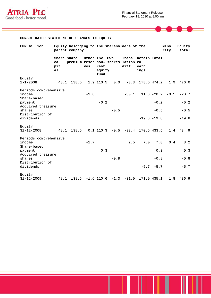

 $\blacksquare$ 



| EUR million                                    |                                            | Equity belonging to the shareholders of the<br>parent company |                       |                         |        |                                   |                                        |                     | Mino<br>rity | Equity<br>total |
|------------------------------------------------|--------------------------------------------|---------------------------------------------------------------|-----------------------|-------------------------|--------|-----------------------------------|----------------------------------------|---------------------|--------------|-----------------|
|                                                | Share Share<br>ca<br>pit<br>a <sub>1</sub> | premium reser non- shares lation ed                           | Other Inv. Own<br>ves | rest.<br>equity<br>fund |        | Trans<br>diff.                    | Retain Total<br>earn<br>ings           |                     |              |                 |
| Equity                                         |                                            |                                                               |                       |                         |        |                                   |                                        |                     |              |                 |
| $1 - 1 - 2008$                                 | 48.1                                       | 138.5                                                         |                       | 1.9 110.5               |        |                                   | $0.0 -3.3 178.5 474.2$                 |                     | 1.9          | 476.0           |
| Periods comprehensive<br>income                |                                            |                                                               | $-1.8$                |                         |        | $-30.1$                           |                                        | $11.8 - 20.2 - 0.5$ |              | $-20.7$         |
| Share-based<br>payment                         |                                            |                                                               |                       | $-0.2$                  |        |                                   |                                        | $-0.2$              |              | $-0.2$          |
| Acquired treasure                              |                                            |                                                               |                       |                         |        |                                   |                                        |                     |              |                 |
| shares                                         |                                            |                                                               |                       |                         | $-0.5$ |                                   |                                        | $-0.5$              |              | $-0.5$          |
| Distribution of<br>dividends                   |                                            |                                                               |                       |                         |        |                                   |                                        | $-19.8 -19.8$       |              | $-19.8$         |
| Equity<br>$31 - 12 - 2008$                     | 48.1                                       | 138.5                                                         |                       |                         |        |                                   | $0.1$ 110.3 $-0.5$ $-33.4$ 170.5 433.5 |                     |              | 1.4 434.9       |
| Periods comprehensive<br>income                |                                            |                                                               | $-1.7$                |                         |        | 2.5                               | 7.0                                    | 7.8                 | 0.4          | 8.2             |
| Share-based<br>payment                         |                                            |                                                               |                       | 0.3                     |        |                                   |                                        | 0.3                 |              | 0.3             |
| Acquired treasure<br>shares<br>Distribution of |                                            |                                                               |                       |                         | $-0.8$ |                                   |                                        | $-0.8$              |              | $-0.8$          |
| dividends                                      |                                            |                                                               |                       |                         |        |                                   |                                        | $-5.7 - 5.7$        |              | $-5.7$          |
| Equity<br>$31 - 12 - 2009$                     | 48.1                                       |                                                               |                       |                         |        | $138.5 -1.6$ 110.6 $-1.3$ $-31.0$ |                                        | 171.9 435.1         | 1.8          | 436.9           |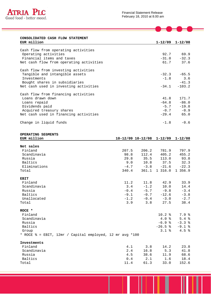

| CONSOLIDATED CASH FLOW STATEMENT |  |  |
|----------------------------------|--|--|
| <b>EUR million</b>               |  |  |

| EUR million                             |         | $1 - 12/09$ $1 - 12/08$ |
|-----------------------------------------|---------|-------------------------|
|                                         |         |                         |
| Cash flow from operating activities     |         |                         |
| Operating activities                    |         | 92.7 69.9               |
| Financial items and taxes               |         | $-31.0 -32.3$           |
| Net cash flow from operating activities | 61.7    | 37.6                    |
| Cash flow from investing activities     |         |                         |
| Tangible and intangible assets          |         | $-32.3 -65.5$           |
| Investments                             |         | $-1.8$ 3.6              |
| Bought shares in subsidiaries           |         | $-41.3$                 |
| Net cash used in investing activities   | $-34.1$ | $-103.2$                |
| Cash flow from financing activities     |         |                         |
| Loans drawn down                        | 41.8    | 171.7                   |
| Loans repaid                            | $-64.8$ | $-86.0$                 |
| Dividends paid                          | $-5.7$  | $-19.8$                 |
| Acquired treasury shares                |         | $-0.7 -0.9$             |
| Net cash used in financing activities   | $-29.4$ | 65.0                    |
| Change in liquid funds                  | $-1.8$  | $-0.6$                  |

**OPERATING SEGMENTS** 

| EUR million                                                        |        | 10-12/09 10-12/08 1-12/09 1-12/08 |             |          |
|--------------------------------------------------------------------|--------|-----------------------------------|-------------|----------|
|                                                                    |        |                                   |             |          |
| Net sales                                                          |        |                                   |             |          |
| Finland                                                            | 207.5  | 206.2                             | 781.9       | 797.9    |
| Scandinavia                                                        | 98.8   | 112.4                             | 405.2       | 455.2    |
| Russia                                                             | 29.8   | 35.5                              | 113.0       | 93.8     |
| Baltics                                                            | 9.0    | 10.8                              | 37.5        | 32.3     |
| Eliminations                                                       | $-4.7$ | $-3.8$                            | $-21.6$     | $-22.3$  |
| Total                                                              | 340.4  | 361.1                             | 1 316.0     | 1 356.9  |
| <b>EBIT</b>                                                        |        |                                   |             |          |
| Finland                                                            | 11.2   | 11.8                              | 42.9        | 33.9     |
| Scandinavia                                                        | 3.4    | $-1.2$                            | 10.0        | 14.4     |
| Russia                                                             | $-0.4$ |                                   | $-5.7 -9.8$ | $-3.4$   |
| Baltics                                                            | $-9.1$ | $-0.7$                            | $-12.6$     | $-3.8$   |
| Unallocated                                                        | $-1.2$ |                                   | $-0.4 -3.0$ | $-2.7$   |
| Total                                                              | 3.9    | 3.8                               | 27.5        | 38.4     |
| $ROCE$ *                                                           |        |                                   |             |          |
| Finland                                                            |        |                                   | 10.2%       | 7.9%     |
| Scandinavia                                                        |        |                                   | 4.0%        | 5.4%     |
| Russia                                                             |        |                                   | $-6.9$ %    | $-3.3%$  |
| Baltics                                                            |        |                                   | $-26.5$ %   | $-9.1$ % |
| Group                                                              |        |                                   | $3.1*$      | 4.5%     |
| * ROCE $\text{\$ = EBIT, 12mr / Capital employed, 12 mr avq *100}$ |        |                                   |             |          |
| Investments                                                        |        |                                   |             |          |
| Finland                                                            | 4.1    | 3.8                               | 14.2        | 23.8     |
| Scandinavia                                                        | 2.4    | 16.8                              | 5.3         | 41.8     |
| Russia                                                             | 4.5    | 38.6                              | 11.9        | 68.6     |
| Baltics                                                            | 0.4    | 2.1                               | 1.6         | 18.4     |
| Total                                                              | 11.4   | 61.3                              | 33.0        | 152.6    |
|                                                                    |        |                                   |             |          |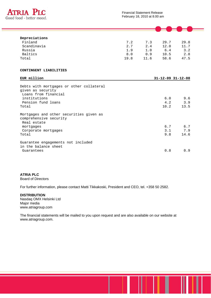

| Depreciations |      |      |      |      |  |
|---------------|------|------|------|------|--|
| Finland       | 7.2  | 7.3  | 29.7 | 29.8 |  |
| Scandinavia   | 2.7  | 2.4  | 12.0 | 11.7 |  |
| Russia        | 1.9  | 1.0  | 6.4  | 3.2  |  |
| Baltics       | 8.0  | 0.9  | 10.5 | 2.8  |  |
| Total         | 19.8 | 11.6 | 58.6 | 47.5 |  |

#### **CONTINGENT LIABILITIES**

| EUR million                                                                      |      | $31 - 12 - 09$ $31 - 12 - 08$ |
|----------------------------------------------------------------------------------|------|-------------------------------|
| Debts with mortgages or other collateral<br>given as security                    |      |                               |
| Loans from financial                                                             |      |                               |
| institutions                                                                     | 6.0  | 9.6                           |
| Pension fund loans                                                               | 4.2  | 3.9                           |
| Total                                                                            | 10.2 | 13.5                          |
| Mortgages and other securities given as<br>comprehensive security<br>Real estate |      |                               |
| mortgages                                                                        | 6.7  | 6.7                           |
| Corporate mortgages                                                              | 3.1  | 7.9                           |
| Total                                                                            | 9.8  | 14.6                          |
| Guarantee engagements not included<br>in the balance sheet                       |      |                               |
| Guarantees                                                                       | 0.8  | 0.9                           |

## **ATRIA PLC**

Board of Directors

For further information, please contact Matti Tikkakoski, President and CEO, tel. +358 50 2582.

#### **DISTRIBUTION**

Nasdaq OMX Helsinki Ltd Major media www.atriagroup.com

The financial statements will be mailed to you upon request and are also available on our website at www.atriagroup.com.